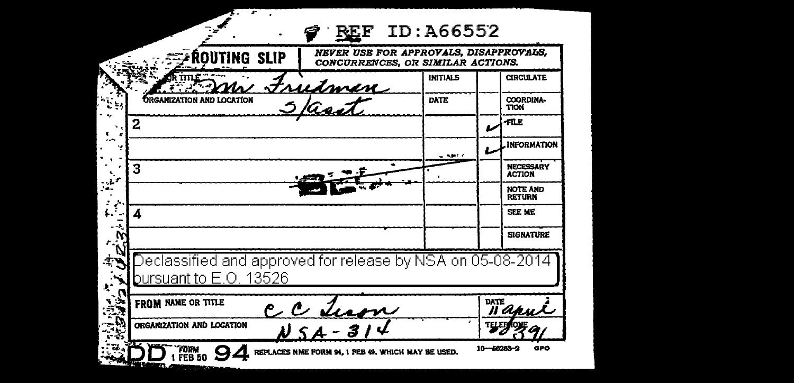| ROUTING SLIP                                                                         |                                | NEVER USE FOR APPROVALS, DISAPPROVALS,<br>CONCURRENCES, OR SIMILAR ACTIONS. |                                   |
|--------------------------------------------------------------------------------------|--------------------------------|-----------------------------------------------------------------------------|-----------------------------------|
|                                                                                      |                                | <b>INITIALS</b>                                                             | <b>CIRCULATE</b>                  |
| <b>ORGANIZATION AND LOCATION</b>                                                     | Frudman<br>3 asít              | DATE                                                                        | COORDINA-<br><b>TION</b>          |
| 2                                                                                    |                                |                                                                             | 40.P                              |
|                                                                                      |                                | . <b>. .</b> .                                                              | <b>INFORMATION</b>                |
| 3                                                                                    |                                |                                                                             | <b>NECESSARY</b><br><b>ACTION</b> |
|                                                                                      |                                |                                                                             | <b>NOTE AND</b><br><b>RETURN</b>  |
| 4                                                                                    |                                |                                                                             | SEE ME                            |
|                                                                                      |                                |                                                                             | <b>SIGNATURE</b>                  |
| Declassified and approved for release by NSA on 05-08-2014<br>pursuant to E.O. 13526 |                                |                                                                             |                                   |
| FROM NAME OR TITLE                                                                   | $c$ $c$ $\frac{d u}{d \gamma}$ |                                                                             | <b>DATE</b><br>n a                |
|                                                                                      |                                |                                                                             |                                   |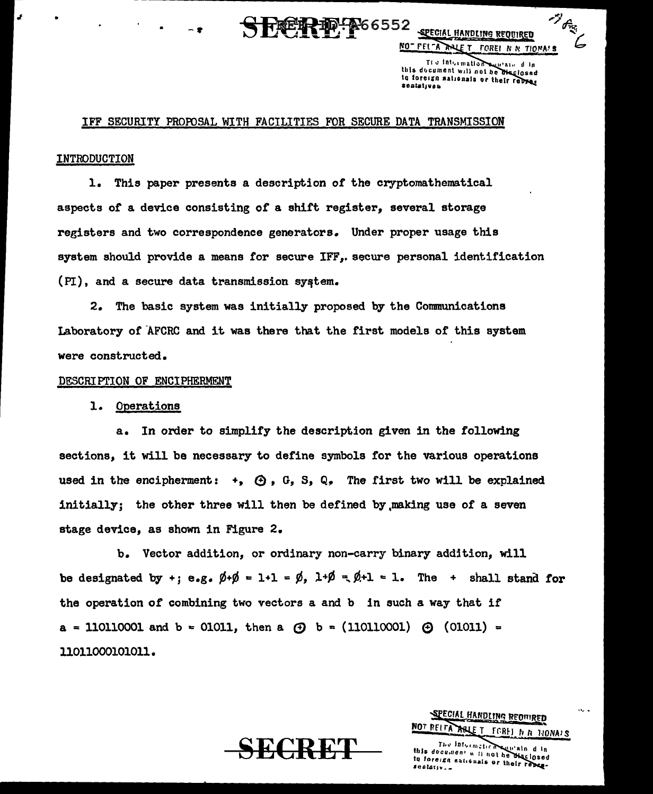

**SPECIAL HANDLING REQUIRED** NO- FEL-A ANLET FOREI N N TIONA'S

 $\mathscr{P}_{\theta_{\mathcal{R}_{\mathcal{A}}^{c}}}$ 

Tl o Intermation suprained in this document will not be the losed to foreign sationals or their retract

#### IFF SECURITY PROFUSAL WITH FACILITIES FOR SECURE DATA TRANSMISSION

#### INTRODUCTION

1. This paper presents a description or the cryptomathematical aspects of a device consisting of a shift register, several storage registers and two correspondence generators. Under proper usage this system should provide a means for secure IFF,. secure personal identification  $(PI)$ , and a secure data transmission system.

2. The basic system was initially proposed by the Conununications Laboratory of AFCRC and it was there that the first models of this system were constructed.

#### DESCRIPTION OF ENCIPHERMENT

#### l. Operations

a. In order to simplify the description given in the following sections, it will be necessary to define symbols for the various operations used in the encipherment:  $+, \oplus, G, S, Q$ . The first two will be explained initially; the other three will then be defined by ,making use of a seven stage device, as shown in Figure 2.

b. Vector addition, or ordinary non-carry binary addition, will be designated by +; e.g.  $\emptyset + \emptyset = 1+1 = \emptyset$ ,  $1+\emptyset = \emptyset +1 = 1$ . The + shall stand for the operation of combining two vectors a and b in such a way that if  $a = 110110001$  and  $b = 01011$ , then a  $\odot b = (110110001)$   $\odot$   $(01011) =$ 11011000101011.

 $\operatorname{\bf SECRET}$ 

#### SPECIAL HANDLING REOMRED NOT RELEA ARLET TOREL N N TIONAIS

The Information supplain d in the information will also<br>this document will not be biselosed<br>in foreign nationals or their replace-<br>sentative...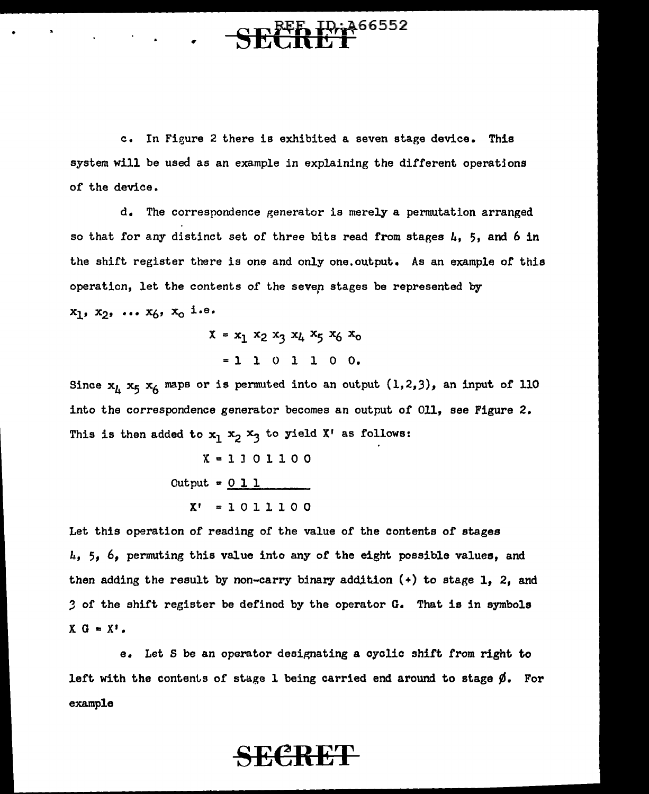# $\frac{10.466552}{1}$

c. In Figure 2 there is exhibited a seven stage device. This system will be used as an example in explaining the different operatjons of the device.

d. The correspondence generator is merely a permutation arranged so that for any distinct set of three bits read from stages  $\mu$ , 5, and 6 in the shift register there is one and only one.output. As an example of this operation, let the contents of the sever stages be represented by  $x_1, x_2, \ldots x_6, x_0$  i.e.

> $X = x_1 x_2 x_3 x_4 x_5 x_6 x_0$ <sup>=</sup>l l 0 1 1 0 o.

Since  $x_L$   $x_5$   $x_6$  maps or is permuted into an output  $(1,2,3)$ , an input of 110 into the correspondence generator becomes an output of 011, see Figure 2. This is then added to  $x_1 x_2 x_3$  to yield X' as follows:

$$
X = 1 1 0 1 1 0 0
$$
  
Output = 0 1 1  

$$
X' = 1 0 1 1 1 0 0
$$

Let this operation of reading of the value of the contents of stages *k,* 5, 6, permuting this value into any or the eight possible values, and then adding the result by non-carry binary addition  $(+)$  to stage 1, 2, and *3* of the shift register be defined by the operator G. That is in symbols  $X G = X'$ .

e. Let S be an operator designating a cyclic shift from right to left with the contents of stage l being carried end around to stage *¢.* For example

## SECRET-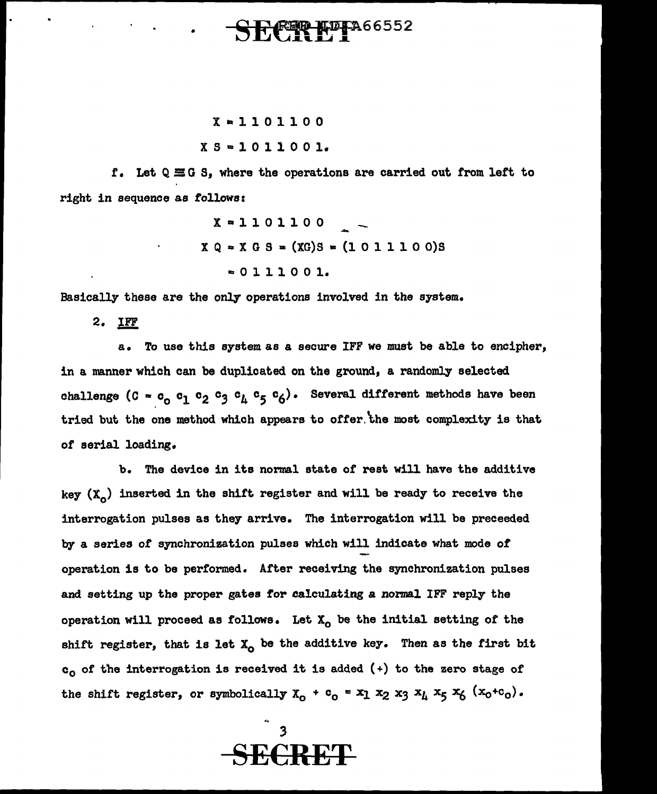# **REP HDFA66552**

#### $X = 1101100$  $X S = 1011001.$

f. Let Q EG S, where the operations are carried out from left to right in sequence as follows:

> $X = 1101100$  $X Q = X G S = (XG)S = (1011100)S$  $= 0 1 1 1 0 0 1.$

Basically these are the only operations involved in the system.

2. IFF

a. To use this system as a secure IFF we must be able to encipher, in a manner which can be duplicated on the ground, a randomly selected challenge (C =  $c_0$   $c_1$   $c_2$   $c_3$   $c_4$   $c_5$   $c_6$ ). Several different methods have been tried but the one method which appears to ofter.'the most complexity is that *ot* serial loading.

b. The device in its normal state *ot* rest will have the additive key  $(X_{\alpha})$  inserted in the shift register and will be ready to receive the interrogation pulses as they arrive. The interrogation will be preceeded by a series or synchronization pulses which will indicate what mode of operation is to be performed. After receiving the synchronization pulses and setting up the proper gates for calculating a normal IFF reply the operation will proceed as follows. Let  $X_0$  be the initial setting of the shift register, that is let  $X_0$  be the additive key. Then as the first bit  $c_0$  of the interrogation is received it is added (+) to the zero stage of the shift register, or symbolically  $X_0 + c_0 = x_1 x_2 x_3 x_4 x_5 x_6 (x_0+c_0)$ .

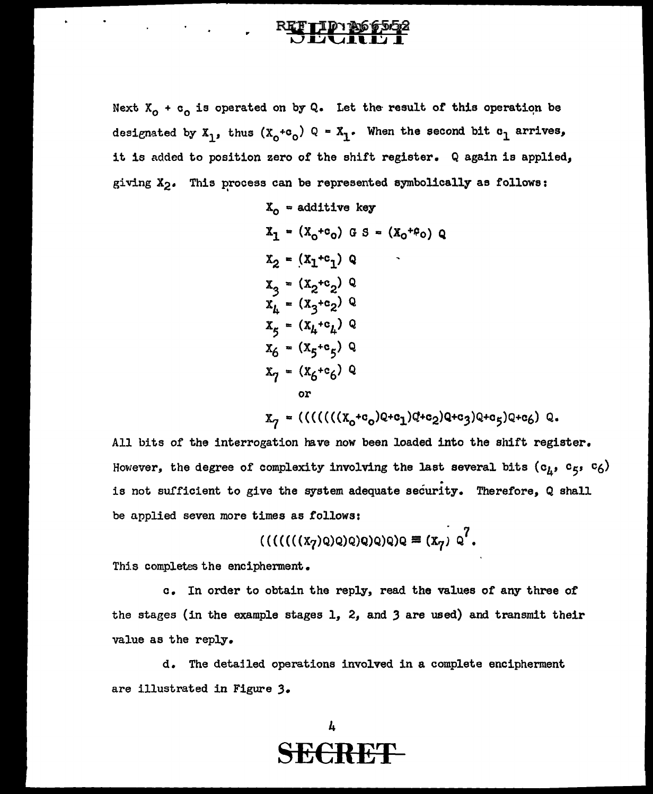..

 $\mathcal{L}_{\text{max}}$  and  $\mathcal{L}_{\text{max}}$ 

Next  $X_{0}$  + c<sub>0</sub> is operated on by Q. Let the result of this operation be designated by  $X_1$ , thus  $(X_0 + c_0)$  Q =  $X_1$ . When the second bit  $c_1$  arrives, it is added to position zero of the shift register. Q again is applied, giving  $X_2$ . This process can be represented symbolically as follows:

$$
X_0 = \text{additive key}
$$
\n
$$
X_1 = (X_0 + c_0) \text{ G } S = (X_0 + c_0) \text{ Q}
$$
\n
$$
X_2 = (X_1 + c_1) \text{ Q}
$$
\n
$$
X_3 = (X_2 + c_2) \text{ Q}
$$
\n
$$
X_4 = (X_3 + c_2) \text{ Q}
$$
\n
$$
X_5 = (X_4 + c_4) \text{ Q}
$$
\n
$$
X_6 = (X_5 + c_5) \text{ Q}
$$
\n
$$
X_7 = (X_6 + c_6) \text{ Q}
$$
\nor\n
$$
X_7 = ((((((X_0 + c_0)Q + c_1)Q + c_2)Q + c_3)Q + c_5)Q + c_6) \text{ Q}.
$$

All bits of the interrogation have now been loaded into the shift register. However, the degree of complexity involving the last several bits ( $c_{\mu}$ ,  $c_{5}$ ,  $c_{6}$ ) is not sufficient to give the system adequate security. Therefore, Q shall be applied seven more times as follows:

$$
((((((x7)q)q)q)q)q)q)q \equiv (x7) q7.
$$

This completes the encipherment.

c. In order to obtain the reply, read the values of any three of the stages (in the example stages l, 2, and *3* are used) and transmit their value as the reply.

d. The detajled operations involved in a complete encipherrnent are illustrated in Figure *3.* 

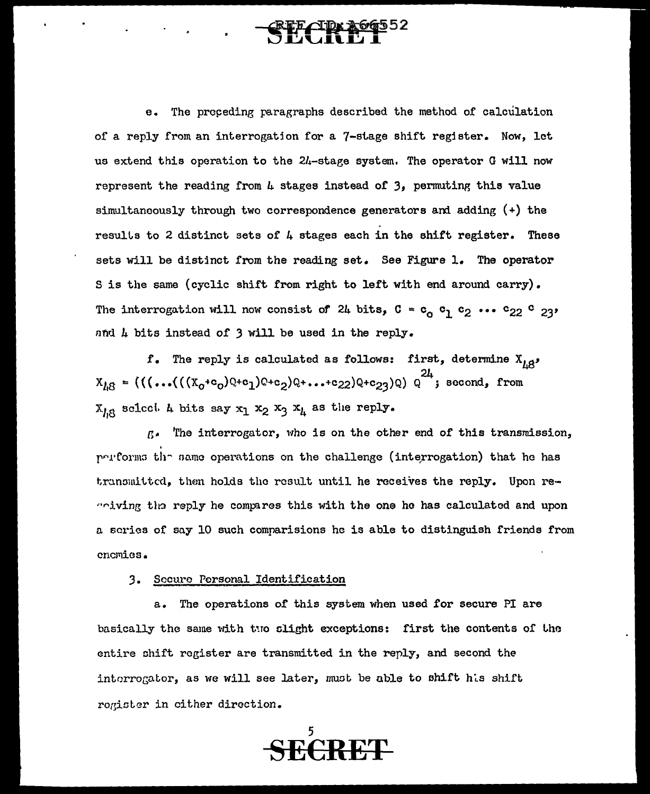### e. The proceding paragraphs described the method of calculation of a reply from an interrogation for a 7-stage shift register. Now, let us extend this operation to the 24-stage system. The operator G will now represent the reading from  $\mu$  stages instead of 3, permuting this value simultaneously through two correspondence generators ani adding (+) the results to 2 distinct sets of  $4$  stages each in the shift register. These sets will be distinct from the reading set. See Figure 1. The operator Sis the same (cyclic shift from right to left with end around carry). The interrogation will now consist of 24 bits,  $C = c_0 c_1 c_2 \cdots c_{22} c_{23'}$ and 4 bits instead of 3 will be used in the reply.

 $f$ . The reply is calculated as follows: first, determine  $X_{i,0}$ ,  $X_{1,8} = (((...((x_{0}+c_{0})Q+c_{1})Q+c_{2})Q+...+c_{22})Q+c_{23})Q) Q^{24}$ ; second, from  $X_{i,8}$  sciect  $L$  bits say  $x_1 x_2 x_3 x_4$  as the reply.

r.- •rhe interrogator, l·tho is on the other end of this transmission, . r···l'l'orm:1 th- rmma operations on the challenge ( inte,rrogation) that he has  $t$ ransmitted, then holds the result until he receives the reply. Upon re- $"$ riving the reply he compares this with the one he has calculated and upon a scrios of sny 10 such comparisions he is able to distinguish friends from enemies •

#### 3. Socure Personal Identification

a. The operations or this system when used for secure PI are basically the same with two clight exceptions: first the contents of the entire ohift register are transmitted in the reply, and second the interrogator, as we will see later, must be able to shift his shift rogister in cither direction.

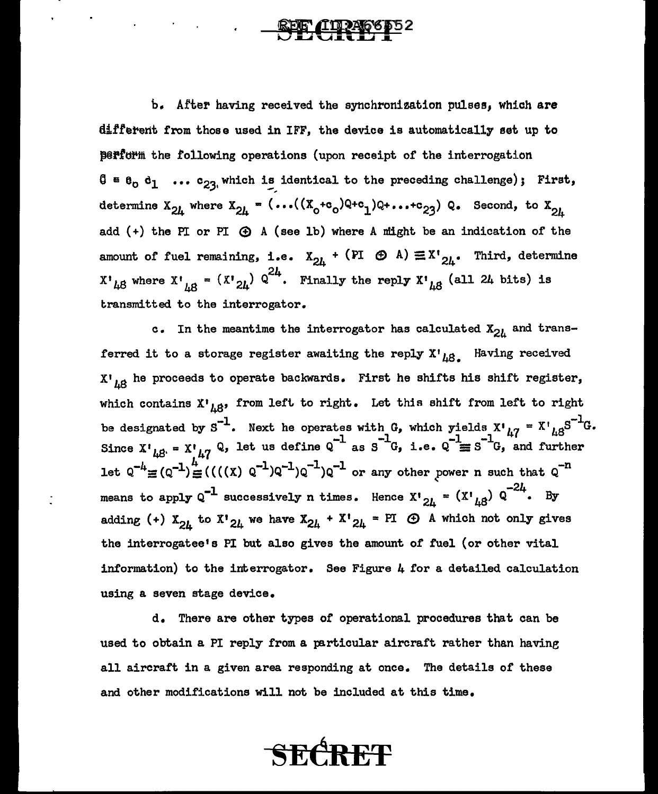$\mathcal{F}^{\mathcal{A}}_{\mathcal{A}}$  and  $\mathcal{F}^{\mathcal{A}}_{\mathcal{A}}$  and  $\mathcal{F}^{\mathcal{A}}_{\mathcal{A}}$  and  $\mathcal{F}^{\mathcal{A}}_{\mathcal{A}}$ 

b. After having received the synchronization pulses, which are different from those used in IFF, the device is automatically set up to  $\beta$ P8 $\mathbf{r}$ form the following operations (upon receipt of the interrogation  $\begin{array}{cccc} \mathbf{0} & \mathbf{e} & \mathbf{e}_0 & \mathbf{e}_1 & \dots & \mathbf{e}_{23} \end{array}$  which is identical to the preceding challenge); First, determine  $X_{24}$  where  $X_{24} = (...((X_0 + c_0)Q + c_1)Q + ... + c_{23}) Q$ . Second, to  $X_{24}$ add  $(+)$  the PI or PI  $\bigoplus$  A (see lb) where A might be an indication of the amount of fuel remaining, i.e.  $X_{2k}$  + (PI  $\oplus$  A)  $\equiv X^{\dagger}_{2k}$ . Third, determine  $X^*{}_{48}$  where  $X^*{}_{48}$  =  $(X^*{}_{24})$   $Q^{24}$ . Finally the reply  $X^*{}_{48}$  (all 24 bits) is transmitted to the interrogator.

c. In the meantime the interrogator has calculated  $X_{2l}$  and transferred it to a storage register awaiting the reply  $X^{\dagger}{}_{\mu\beta}$ . Having received  $X^{\dagger}{}_{i,\beta}$  he proceeds to operate backwards. First he shifts his shift register, which contains  $x^{\dagger}_{A}$  from left to right. Let this shift from left to right be designated by  $S^{-1}$ . Next he operates with G, which yields  $X'_{kq} = X'_{kq}S^{-1}G$ . Since  $X'_{\mu\beta} = X'_{\mu\gamma} Q$ , let us define  $Q^{-1}$  as  $S^{-1}G$ , i.e.  $Q^{-1} \equiv S^{-1}G$ , and further let  $Q^{-4} \equiv (Q^{-1}) \equiv (((x) Q^{-1})Q^{-1})Q^{-1}$  or any other power n such that  $Q^{-n}$ means to apply  $\varrho^{-1}$  successively n times. Hence  $x\cdot_{2\mu}$  =  $(x\cdot_{\mu\beta})$   $\varrho^{-2\mu}$ . By adding (+)  $X_{24}$  to  $X_{24}$  we have  $X_{24}$  +  $X_{24}$  = PI  $\bigoplus$  A which not only gives the interrogatee's PI but also gives the amount of fuel (or other vital information) to the interrogator. See Figure 4 for a detailed calculation using a seven stage device.

d. There are other types of operational procedures that can be used to obtain a PI reply from a particular aircraft rather than having all aircraft in a given area responding at once. The details of these and other modifications will not be included at this time.

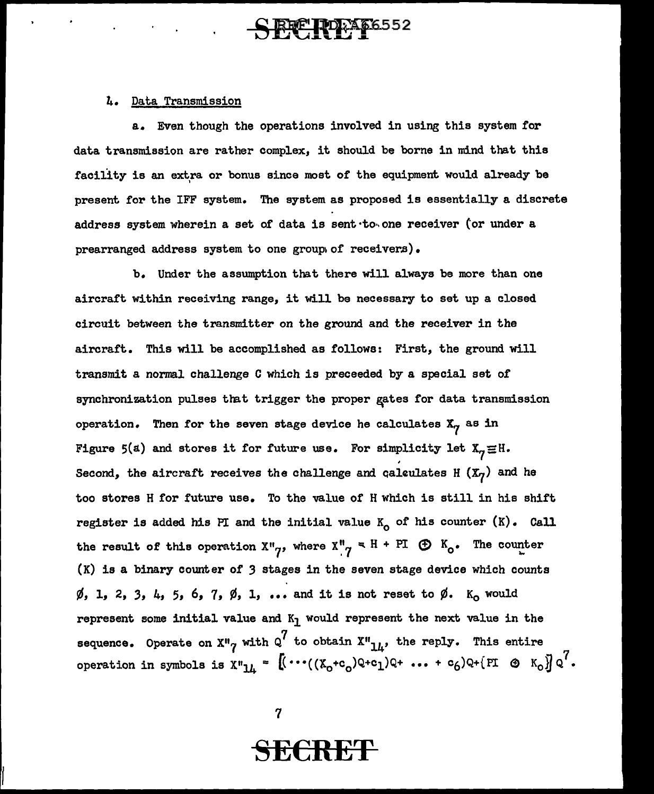## E**LIDEA66552**

#### 4. Data Transmission

a. Even though the operations involved in using this system for data transmission are rather complex, it should be borne in mind that this facility is an extra or bonus since most of the equipment would already be present for the IFF system. The system as proposed is essentially a discrete address system wherein a set of data is sent to one receiver (or under a prearranged address system to one group of receivers).

b. Under the assumption that there will always be more than one aircraft within receiving range, it will be necessary to set up a closed circuit between the transmitter on the ground and the receiver in the aircraft. This will be accomplished as follows: First, the ground will transmit a normal challenge C which is preceeded by a special set of synchronization pulses that trigger the proper gates for data transmission operation. Then for the seven stage device he calculates  $X_{\gamma}$  as in Figure 5(a) and stores it for future use. For simplicity let  $X_{7} \equiv H$ . Second, the aircraft receives the challenge and calculates H  $(X_7)$  and he too stores H for future use. To the value of H which is still in his shift register is added his PI and the initial value  $K_0$  of his counter  $(K)$ . Call the result of this operation  $X''_{7}$ , where  $X''_{7} = H + PT$   $\oplus K_{0}$ . The counter  $(K)$  is a binary counter of 3 stages in the seven stage device which counts  $\emptyset$ , 1, 2, 3, 4, 5, 6, 7,  $\emptyset$ , 1, ... and it is not reset to  $\emptyset$ . K<sub>o</sub> would represent some initial value and  $K_1$  would represent the next value in the sequence. Operate on X"<sub>7</sub> with Q<sup>7</sup> to obtain X"<sub>14</sub>, the reply. This entire operation in symbols is  $X^{\mu}L_{\mu} = [(\cdots((X_0+c_0)Q+c_1)Q + \cdots + c_6)Q + (PI \otimes K_0)]Q^7$ .

 $\boldsymbol{7}$ 

## SECRET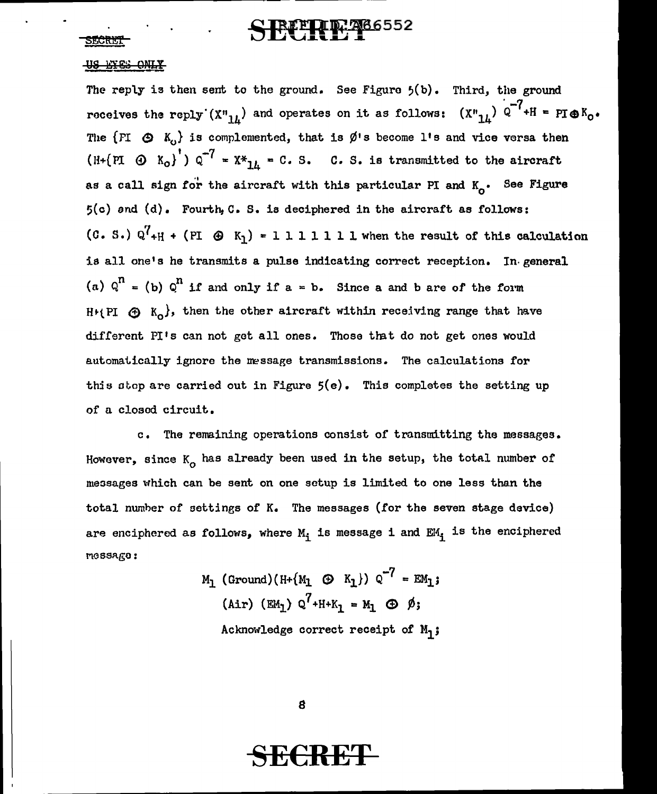## **LIP: 266552**

#### SECRET

#### **AS RIES OWIX**

The reply is then sent to the ground. See Figure  $5(b)$ . Third, the ground roceives the reply  $(\texttt{X''}_{14})$  and operates on it as follows: Third, the ground  $\overline{C}$ .  $(X''_{14})$  Q<sup>-1</sup>+H = PI
o K<sub>0</sub>. The  $\{F1 \oplus K_0\}$  is complemented, that is  $\emptyset$ 's become l's and vice versa then (H+(PI  $\odot$  K<sub>0</sub>)<sup>'</sup>)  $q^{-7}$  = X\*<sub>14</sub> = C. S. C. S. is transmitted to the aircraft as a call sign for the aircraft with this particular PI and  $K_{0}$ . See Figure 5(c) and (d). Fourth,C. s. is deciphered in the aircraft as follows: (C. S.)  $Q^{7}$ <sub>+H</sub> + (PI  $\,\,\oplus\,\,$  K<sub>1</sub>) = 1 1 1 1 1 1 1 k when the result of this calculation is all one's he transmits a pulse indicating correct reception. In general (a)  $Q^{n} =$  (b)  $Q^{n}$  if and only if a = b. Since a and b are of the form H+(PI  $\bigoplus$  K<sub>o</sub>}, then the other aircraft within receiving range that have different PI's can not get all ones. Those that do not get ones would automatically ignore the message transmissions. The calculations for this stop are carried out in Figure  $5(e)$ . This completes the setting up of a closed circuit.

c. The remaining operations consist of transmitting the messages. However, since  $\texttt{K}_{\textbf{O}}$  has already been used in the setup, the total number of messages which can be sent on one setup is limited to one less than the total nurnher of settings of K. The messages (for the seven stage device) are enciphered as follows, where  $M_i$  is message i and  $EM_i$  is the enciphered message:

> ${M_1}$  (Ground) (H+ { ${M_1}$   $\oplus$   $K_1$ })  $\circ$ <sup>-7</sup> = EM<sub>1</sub>;  $(Air)$  (EM<sub>1</sub>) Q<sup>7</sup>+H+K<sub>1</sub> = M<sub>1</sub>  $\oplus$   $\emptyset$ ; Acknowledge correct receipt of  $M_1$ ;

> > 8

## **SECRE'f**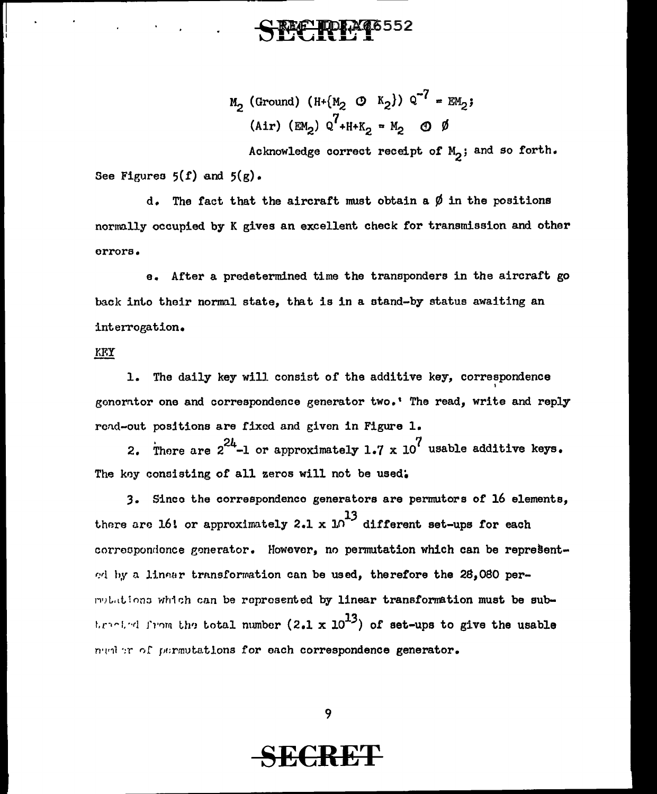# SECRE 1

 $M_2$  (Ground) (H+{ $M_2$  (0 K<sub>2</sub>}) Q<sup>-7</sup> = EM<sub>2</sub>; (Air)  $(\text{EM}_2)$   $Q^7 + H + K_2 = M_2$   $\oplus$   $\emptyset$ 

Acknowledge correct receipt of  $M_2$ ; and so forth. See Figures  $5(f)$  and  $5(g)$ .

d. The fact that the aircraft must obtain a  $\emptyset$  in the positions normally occupied by K gives an excellent check for transmission and other errors.

e. After a predetermined time the transponders in the aircraft go back into their normal state, that is in a stand-by status awaiting an interrogation.

#### KFY

1. The daily key will consist of the additive key, correspondence gonorntor one and correspondence generator two.' The read, write and reply rend-out positions are fixed and given in Figure 1.

2. Thore are  $2^{24}$ -1 or approximately 1.7 x 10<sup>7</sup> usable additive keys. The koy consisting of all zeros will not be used.

3. Sinco the correspondenco generators are pernrutors of 16 elements, there are 16! or approximately 2.1 x  $10^{13}$  different set-ups for each correspondence generator. However, no permutation which can be represented by a linear transformation can be used, therefore the 28,080 permulations which can be represented by linear transformation must be subt. realed from the total number (2.1 x  $10^{13}$ ) of set-ups to give the usable nunter of permutations for each correspondence generator.

9

## **SECRET**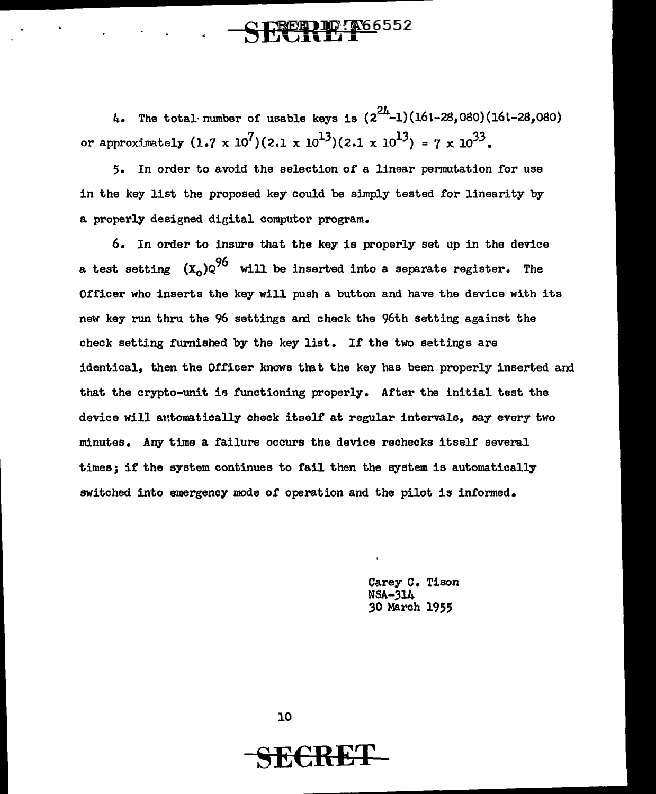## SECKE F

4. The total· number of usable keys is  $(2^{2L}-1)(161-28,080)(161-28,080)$ or approximately  $(1.7 \times 10^7)(2.1 \times 10^{13})(2.1 \times 10^{13}) = 7 \times 10^{33}$ .

5. In order to avoid the selection of a linear permutation for use in the key list the proposed key could be simply tested for linearity by a properly designed digital computor program.

6. In order to insure that the key is properly set up in the device a test setting  $(x_0)Q^{96}$  will be inserted into a separate register. The Officer who inserts the key will push a button and have the device with its new key run thru the 96 settings am check the 96th setting against the check setting furnished by the key list. If the two settings are identical, then the Officer knows that the key has been properly inserted and that the crypto-unit ia functioning properly. After the initial test the device will antomatically check itself at regular intervals, say every two minutes. Any time a failure occurs the device rechecks itself several times; if the system continues to fail then the system is automatically switched into emergency mode of operation and the pilot is informed.

> Carey C. Tison NSA-314 *30* March 1955

10

**SE€RET**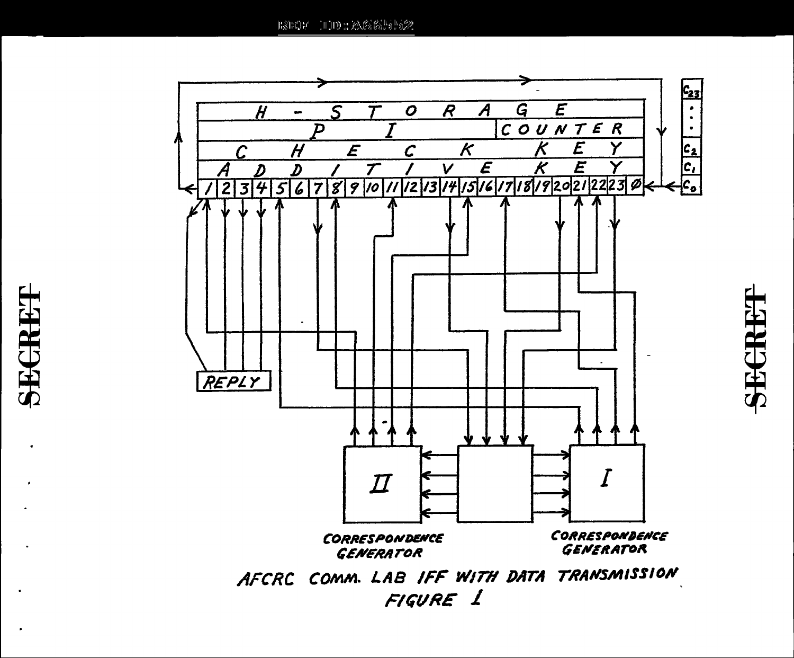E3ECE HDD : 20666 55622



SECRE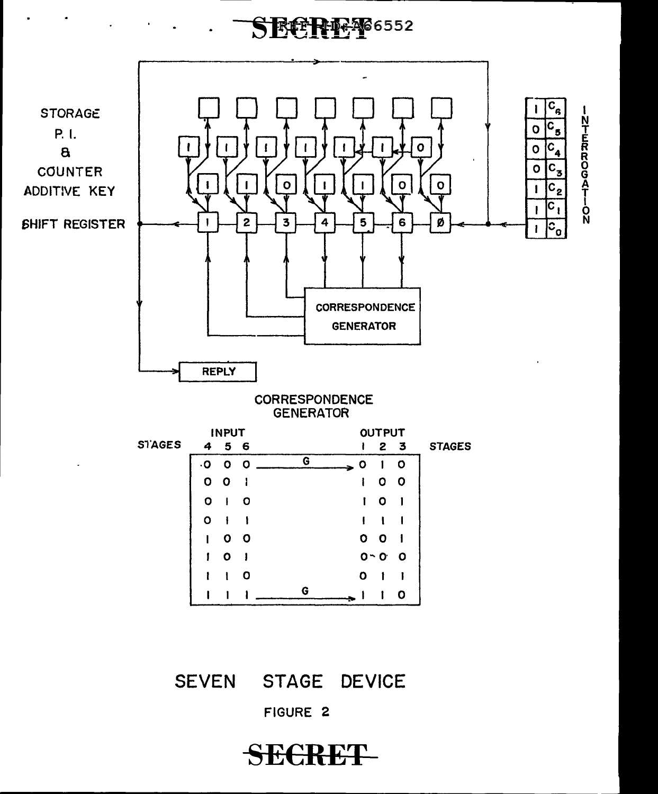## SECRETO 6552



**SECRET** 

FIGURE 2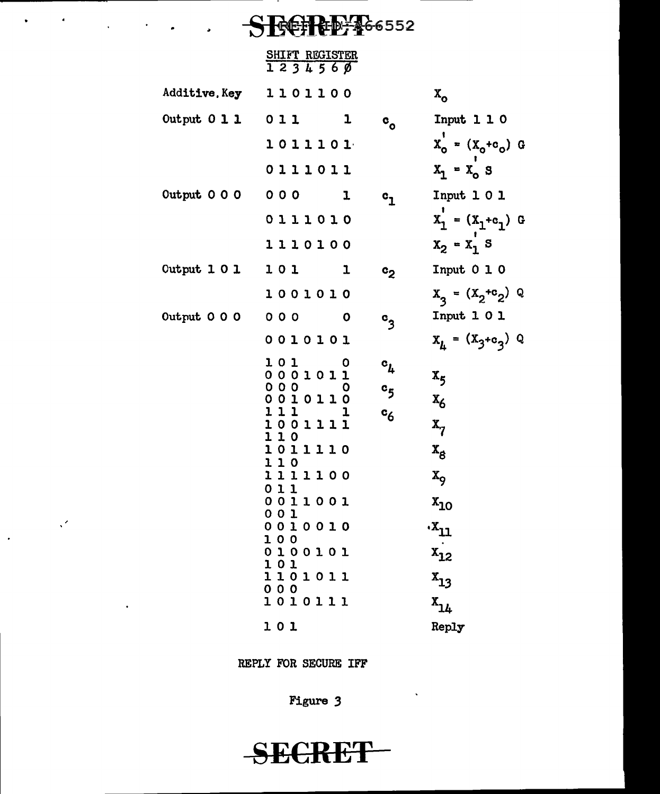# .. 552

 $\mathcal{L}(\mathcal{A})$  .

 $\sim$   $\mathcal{A}$ 

 $\sim$ 

 $\ddot{\phantom{0}}$ 

 $\bullet$ 

|                      | SHIFT REGISTER<br>1234560 |                                 |                                 |
|----------------------|---------------------------|---------------------------------|---------------------------------|
|                      | Additive. Key 1101100     |                                 | $\mathbf{x}_{\mathbf{o}}$       |
| Output $0 1 1 0 1 1$ | 1                         | $^{\circ}$ o                    | Input $1 1 0$                   |
|                      | 1011101                   |                                 | $X_{0}^{'} = (X_{0} + c_{0})$ G |
|                      | 0111011                   |                                 | $X_1 = X_0 S$                   |
| Output 0 0 0 0 0 0   | ı                         | $\mathbf{c}_{\mathbf{1}}$       | Input $1 0 1$                   |
|                      | 0111010                   |                                 | $x_1 = (x_1 + c_1)$ G           |
|                      | 1110100                   |                                 | $X_2 = X_1 S$                   |
| Output 1 0 1 1 0 1   | ı                         | c <sub>2</sub>                  | Input $0 1 0$                   |
|                      | 1001010                   |                                 | $X_3 = (X_2 + c_2) Q$           |
|                      | Output 0 0 0 0 0 0 0      | $^{\circ}$ 3                    | Input $1 0 1$                   |
|                      | 0010101                   |                                 | $x_L = (x_3 + c_3) Q$           |
|                      | 101<br>O<br>0001011       | $\mathbf{c}_{\boldsymbol{\mu}}$ | $x_{5}$                         |
|                      | 000<br>O<br>0010110       | $^{\circ}5$                     | $x_6$                           |
|                      | 111 1<br>1001111          | $c_6$                           | $\mathbf{x}_7$                  |
|                      | 110<br>1011110            |                                 |                                 |
|                      | 110                       |                                 | $\mathbf{x}_{\mathbf{g}}$       |
|                      | 1111100<br>011            |                                 | $x_{9}$                         |
|                      | 0011001<br>001            |                                 | $x_{10}$                        |
|                      | 0010010<br>100            |                                 | .x <sub>11</sub>                |
|                      | 0100101<br>101            |                                 |                                 |
|                      | 1101011<br>000            |                                 | $x_{12}$<br>$x_{13}$            |
|                      | 1010111                   |                                 | $x_{14}$                        |
|                      | 101                       |                                 | Reply                           |

REPLY FOR SECURE IFF

Figure 3

 $\hat{\mathbf{v}}$ 

SECRET-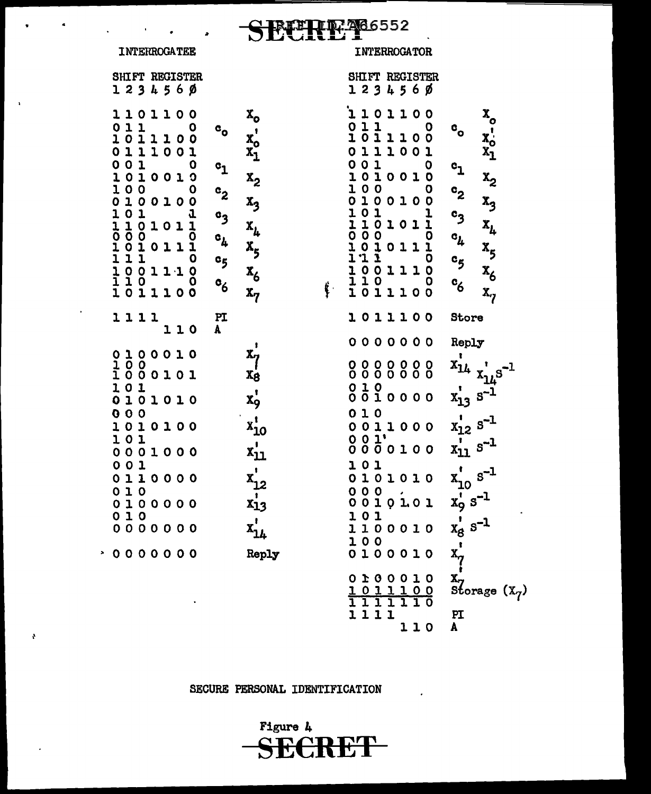## **THE 766552**

**INTERROGATEE** 

 $\lambda$ 

 $\pmb{\delta}$ 

#### INTERROGATOR

| <b>SHIFT REGISTER</b><br>1 2 3 4 5 6 Ø                                                                                                                                                                                                                                                                                                          |                                                                                                                                                                                                                                                                                                       |    | SHIFT REGISTER<br>123456Ø                                                                                                                                                                                                                                                                                                                                                                                          |                                                                                                                                                                                                                 |
|-------------------------------------------------------------------------------------------------------------------------------------------------------------------------------------------------------------------------------------------------------------------------------------------------------------------------------------------------|-------------------------------------------------------------------------------------------------------------------------------------------------------------------------------------------------------------------------------------------------------------------------------------------------------|----|--------------------------------------------------------------------------------------------------------------------------------------------------------------------------------------------------------------------------------------------------------------------------------------------------------------------------------------------------------------------------------------------------------------------|-----------------------------------------------------------------------------------------------------------------------------------------------------------------------------------------------------------------|
| 1101100<br>$\begin{array}{c} 1 \\ 1 \end{array}$<br>0<br>1<br>o<br>011100<br>111001<br>$\begin{array}{cccc} 1\,0\,1\,1\,1\,0\,0\,1 \ 0\,0\,1\,1\,0\,0\,1 \ 0\,0\,1\,0\,0\,1\,0 \ 0\,1\,0\,0\,0\,1\,0\,0 \ 0\,1\,0\,0\,1\,0\,1 \ 1\,1\,0\,0\,1\,0\,1\,1 \ 1\,1\,0 \ 0\,1\,0\,1\,1\,1\,0 \ 0\,1\,1\,1\,0 \ 0 \ 1\,1\,1\,0 \ 0 \ 1\,1\,1\,0 \ 0 \$ | $x_0$<br>$x_1$<br>$x_2$<br>$\vdots$<br>$\mathbf{c}_\mathbf{o}$<br>$\mathbf{c_1}$<br>$x_2$<br>$x_3$<br>$x_4$<br>$x_5$<br>$x_6$<br><b>C<sub>2</sub> C<sub>2</sub> C<sub>2</sub> C<sub>2</sub> C<sub>2</sub> C<sub>2</sub> C<sub>2</sub> C<sub>2</sub> C<sub>5</sub> C<sub>6</sub></b><br>$\mathbf{x}_7$ | ţ. | L<br>$\mathbf{1}$<br>$\bullet$<br>1100<br>$11$<br>$\boldsymbol{0}$<br>o<br>$\overline{1}$ 0<br>$\mathbf{I}$<br>$110$<br>$100$<br>$\circ$<br>$\mathbf{1}$<br>$\mathbf{I}$<br>$\mathbf{1}$<br>$\mathbf 0$<br>001<br>0<br>$\begin{smallmatrix} 0&0&1&0&0&1&0\ 1&0&1&0&0&1&0\ 0&1&0&0&1&0&1\ 1&0&1&0&1&1&0\ 0&0&0&0&1&1&0\ 1&1&1&1&0&0&1&1\ 1&0&0&1&1&1&0\ 1&0&1&1&1&0&0\ 1&0&1&1&1&0&0\ \end{smallmatrix}$<br>1011100 | $x_0$<br>$x_0$<br>$x_1$<br>$\mathbf{c}_\mathbf{o}$<br>$c_1$<br>$c_2$<br>$c_3$<br>$c_4$<br>$c_5$<br>$c_6$<br>$c_6$<br>$c_6$<br>$c_{6}$<br>$x_{7}$                                                                |
| 1111<br>110                                                                                                                                                                                                                                                                                                                                     | PI<br>A                                                                                                                                                                                                                                                                                               |    | 1011100                                                                                                                                                                                                                                                                                                                                                                                                            | Store                                                                                                                                                                                                           |
| 0 1 0 0 0 1 0<br>1 0 0<br>1 0 0 0 1 0 1<br>101<br>010<br>000<br>101010<br>1010100<br>01<br>$\mathbf{I}$<br>O<br>001000<br>O<br>01<br>0110000<br>0 1 0<br>0 1 0 0 0 0 0<br>0 1 0<br>0 0 0 0 0 0 0<br>0000000                                                                                                                                     | $x_7'$<br>$x_8'$<br>$x^{\prime}_{9}$<br>$x_{10}^t$<br>$x_{11}^{\prime}$<br>$x_{12}$<br>$x_{13}$<br>$x_{14}$<br>Reply                                                                                                                                                                                  |    | 0000000<br>000000<br>000000<br>$\frac{0}{0}$<br>0100<br>$\begin{array}{c} 0 \\ 1 \\ 0 \\ 0 \\ 0 \\ 0 \\ \end{array}$<br>010<br>0011000<br>$001'$<br>$000000000$<br>101<br>0101010<br>000<br>0010101<br>101<br>1100010<br>100<br>0100010<br>0100010                                                                                                                                                                 | Reply<br>$x_{14}^{\prime}$ $x_{14}^{\prime}$ $s$<br>$x_{13}$ s <sup>-1</sup><br>$x_{12}^1$ s <sup>-1</sup><br>$x_{11} s^{-1}$<br>$x_{10}^{t} s^{-1}$<br>$x_{9}^{t} s^{-1}$<br>$x_{8}^{t} s^{-1}$<br>$x^{i}_{7}$ |
|                                                                                                                                                                                                                                                                                                                                                 |                                                                                                                                                                                                                                                                                                       |    | $0,11100$ $0.11100$<br>1111<br>110                                                                                                                                                                                                                                                                                                                                                                                 | $\mathbf{x}_7$<br>Storage $(\mathbf{x}_7)$<br>PI<br>A                                                                                                                                                           |

SECURE PERSONAL IDENTIFICATION

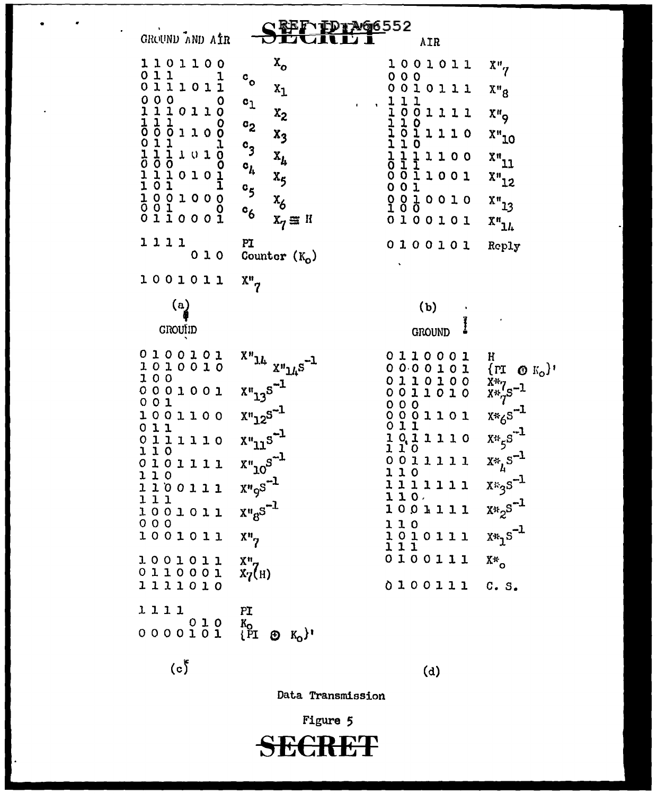**、エレエンタ6552** GROUND AND AIR **AIR**  $x_{\alpha}$ 1101100  $x_{o}$ 1001011  $\begin{smallmatrix} 0 & 1 & 1 & & & 1 \\ 0 & 1 & 1 & 1 & 0 & 1 \\ 1 & 1 & 0 & 1 & 1 \end{smallmatrix}$  $\begin{array}{c} 0 & 0 & 0 \\ 0 & 0 & 1 & 0 & 1 & 1 \\ \end{array}$  $\mathbf{c}_{\mathbf{o}}$  $x_1$  $X''_8$ 0111011<br>1011011<br>01011 0  $\frac{1}{2}$  1 1 1 1 110101<br>11111110<br>00 0  $0 0 1 1 0 1 1 0 0 0$ <br>  $1 1 1 0 1 1 0 0 0$ <br>  $0 1 1 1 0 1 0 0 1$ <br>  $1 1 0 1 0 1 0 1$ <br>  $1 0 1 0 0 0 0 0$ <br>  $1 0 0 1 0 0 0 0$ <br>  $0 1 1 0 0 0 1$  $c_1$  $x<sub>2</sub>$  $X''_9$  $0$ 11110  $c_2$  $X''$ 10  $x_3$  $c<sub>3</sub>$  $\mathbf 0$  $\frac{1}{1}$ 1100<br>11001  $x_1$  $\mathbf{x}_{L}$  $\mathbf{c}_h$  $x''_{12}$  $x_{5}$  $001$ <br>  $001$ <br>  $001$ <br>  $001$  $c_{5}$  $x_{13}$  $x_6$  $c_{6}$  $0100101$  $X_7 \equiv H$  $X''_{11}$ 1111 PI 0100101 Reply  $010$ Counter  $(K_0)$  $x_7$ 1001011  $\left( \mathrm{a}\right)$  $(b)$ GROUID **GROUND** 0100101  $x_{\boldsymbol{\eta}_{1t}}$   $x_{\boldsymbol{\eta}_{1t}}s_{-1}$ 0110001 H  $\text{Tr} \otimes \mathbb{K}_{0}$ 1010010 0000101 100 0110100  $\frac{\bar{X}^*}{\bar{X}^*q}S^{-1}$  $x_{13}^{\prime} s^{-1}$  $0001001$ 0011010 00001101<br>0001101<br>0111110<br>1011110 001  $x*_6s^{-1}$  $x_{12}x_{25}^{-1}$ 1001100  $\begin{array}{cccc}\n0 & 1 & 1 \\
0 & 1 & 1 & 1 & 1 & 0\n\end{array}$  $x_{55}x^{-1}$  $x_{11}^{\prime} s^{-1}$ 110  $x_{10}x_{10}$  $x *_{\mu} s^{-1}$ 0011111 0101111 110 110  $x \cdot 3s^{-1}$  $X^n\circ S^{-1}$ 1111111 1100111  $110.$ 111  $X*2^{S^{-1}}$  $x_{\alpha}$   $x_{\beta}$   $s^{-1}$ 1001111 1001011  $000$ 110  $x *_{1} s^{-1}$ 1001011  $X^n$ 1010111  $111$ 0100111 1001011  $\frac{X^n}{X^n}$ <sup>(H)</sup>  $X^*$ 0110001 1111010 0100111  $C. S.$ 1111 PI  $0 0 0 0 1 0 1 0$  $\begin{smallmatrix} K_0 \cr P \end{smallmatrix}$  $\bigoplus K_{0}$ <sup>'</sup>  $(c)$  $(d)$ 

Data Transmission

Figure 5 RKT